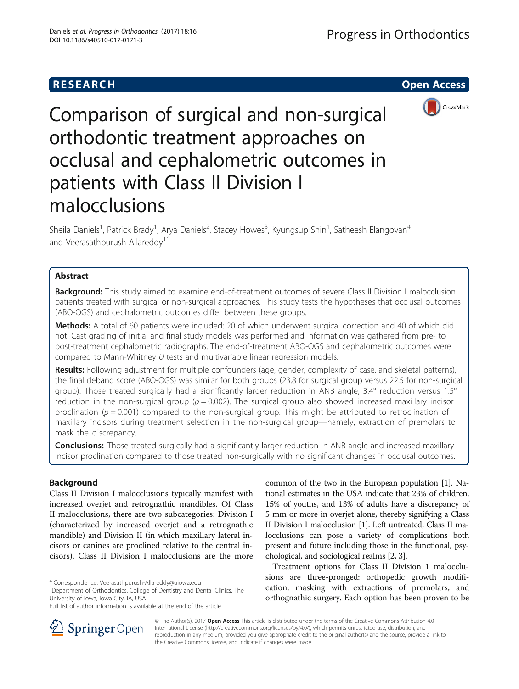

# Comparison of surgical and non-surgical orthodontic treatment approaches on occlusal and cephalometric outcomes in patients with Class II Division I malocclusions

Sheila Daniels<sup>1</sup>, Patrick Brady<sup>1</sup>, Arya Daniels<sup>2</sup>, Stacey Howes<sup>3</sup>, Kyungsup Shin<sup>1</sup>, Satheesh Elangovan<sup>4</sup> and Veerasathpurush Allareddy<sup>1\*</sup>

# Abstract

**Background:** This study aimed to examine end-of-treatment outcomes of severe Class II Division I malocclusion patients treated with surgical or non-surgical approaches. This study tests the hypotheses that occlusal outcomes (ABO-OGS) and cephalometric outcomes differ between these groups.

Methods: A total of 60 patients were included: 20 of which underwent surgical correction and 40 of which did not. Cast grading of initial and final study models was performed and information was gathered from pre- to post-treatment cephalometric radiographs. The end-of-treatment ABO-OGS and cephalometric outcomes were compared to Mann-Whitney U tests and multivariable linear regression models.

Results: Following adjustment for multiple confounders (age, gender, complexity of case, and skeletal patterns), the final deband score (ABO-OGS) was similar for both groups (23.8 for surgical group versus 22.5 for non-surgical group). Those treated surgically had a significantly larger reduction in ANB angle, 3.4° reduction versus 1.5° reduction in the non-surgical group ( $p = 0.002$ ). The surgical group also showed increased maxillary incisor proclination ( $p = 0.001$ ) compared to the non-surgical group. This might be attributed to retroclination of maxillary incisors during treatment selection in the non-surgical group—namely, extraction of premolars to mask the discrepancy.

**Conclusions:** Those treated surgically had a significantly larger reduction in ANB angle and increased maxillary incisor proclination compared to those treated non-surgically with no significant changes in occlusal outcomes.

## Background

Class II Division I malocclusions typically manifest with increased overjet and retrognathic mandibles. Of Class II malocclusions, there are two subcategories: Division I (characterized by increased overjet and a retrognathic mandible) and Division II (in which maxillary lateral incisors or canines are proclined relative to the central incisors). Class II Division I malocclusions are the more

<sup>1</sup>Department of Orthodontics, College of Dentistry and Dental Clinics, The University of Iowa, Iowa City, IA, USA

common of the two in the European population [[1\]](#page-8-0). National estimates in the USA indicate that 23% of children, 15% of youths, and 13% of adults have a discrepancy of 5 mm or more in overjet alone, thereby signifying a Class II Division I malocclusion [[1\]](#page-8-0). Left untreated, Class II malocclusions can pose a variety of complications both present and future including those in the functional, psychological, and sociological realms [\[2, 3](#page-8-0)].

Treatment options for Class II Division 1 malocclusions are three-pronged: orthopedic growth modification, masking with extractions of premolars, and orthognathic surgery. Each option has been proven to be



© The Author(s). 2017 **Open Access** This article is distributed under the terms of the Creative Commons Attribution 4.0 International License ([http://creativecommons.org/licenses/by/4.0/\)](http://creativecommons.org/licenses/by/4.0/), which permits unrestricted use, distribution, and reproduction in any medium, provided you give appropriate credit to the original author(s) and the source, provide a link to the Creative Commons license, and indicate if changes were made.

<sup>\*</sup> Correspondence: [Veerasathpurush-Allareddy@uiowa.edu](mailto:Veerasathpurush-Allareddy@uiowa.edu) <sup>1</sup>

Full list of author information is available at the end of the article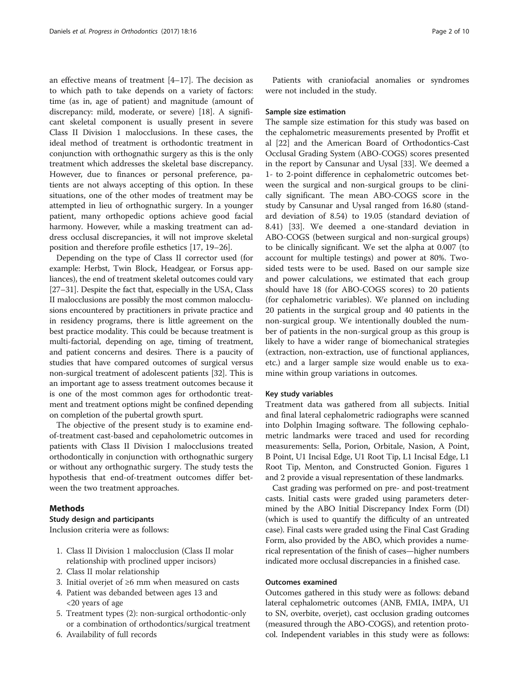an effective means of treatment [[4](#page-8-0)–[17](#page-8-0)]. The decision as to which path to take depends on a variety of factors: time (as in, age of patient) and magnitude (amount of discrepancy: mild, moderate, or severe) [\[18](#page-8-0)]. A significant skeletal component is usually present in severe Class II Division 1 malocclusions. In these cases, the ideal method of treatment is orthodontic treatment in conjunction with orthognathic surgery as this is the only treatment which addresses the skeletal base discrepancy. However, due to finances or personal preference, patients are not always accepting of this option. In these situations, one of the other modes of treatment may be attempted in lieu of orthognathic surgery. In a younger patient, many orthopedic options achieve good facial harmony. However, while a masking treatment can address occlusal discrepancies, it will not improve skeletal position and therefore profile esthetics [[17, 19](#page-8-0)–[26](#page-9-0)].

Depending on the type of Class II corrector used (for example: Herbst, Twin Block, Headgear, or Forsus appliances), the end of treatment skeletal outcomes could vary [[27](#page-9-0)–[31\]](#page-9-0). Despite the fact that, especially in the USA, Class II malocclusions are possibly the most common malocclusions encountered by practitioners in private practice and in residency programs, there is little agreement on the best practice modality. This could be because treatment is multi-factorial, depending on age, timing of treatment, and patient concerns and desires. There is a paucity of studies that have compared outcomes of surgical versus non-surgical treatment of adolescent patients [[32](#page-9-0)]. This is an important age to assess treatment outcomes because it is one of the most common ages for orthodontic treatment and treatment options might be confined depending on completion of the pubertal growth spurt.

The objective of the present study is to examine endof-treatment cast-based and cepaholometric outcomes in patients with Class II Division I malocclusions treated orthodontically in conjunction with orthognathic surgery or without any orthognathic surgery. The study tests the hypothesis that end-of-treatment outcomes differ between the two treatment approaches.

## Methods

Study design and participants Inclusion criteria were as follows:

- 1. Class II Division 1 malocclusion (Class II molar relationship with proclined upper incisors)
- 2. Class II molar relationship
- 3. Initial overjet of ≥6 mm when measured on casts
- 4. Patient was debanded between ages 13 and <20 years of age
- 5. Treatment types (2): non-surgical orthodontic-only or a combination of orthodontics/surgical treatment
- 6. Availability of full records

Patients with craniofacial anomalies or syndromes were not included in the study.

#### Sample size estimation

The sample size estimation for this study was based on the cephalometric measurements presented by Proffit et al [[22\]](#page-9-0) and the American Board of Orthodontics-Cast Occlusal Grading System (ABO-COGS) scores presented in the report by Cansunar and Uysal [[33\]](#page-9-0). We deemed a 1- to 2-point difference in cephalometric outcomes between the surgical and non-surgical groups to be clinically significant. The mean ABO-COGS score in the study by Cansunar and Uysal ranged from 16.80 (standard deviation of 8.54) to 19.05 (standard deviation of 8.41) [\[33](#page-9-0)]. We deemed a one-standard deviation in ABO-COGS (between surgical and non-surgical groups) to be clinically significant. We set the alpha at 0.007 (to account for multiple testings) and power at 80%. Twosided tests were to be used. Based on our sample size and power calculations, we estimated that each group should have 18 (for ABO-COGS scores) to 20 patients (for cephalometric variables). We planned on including 20 patients in the surgical group and 40 patients in the non-surgical group. We intentionally doubled the number of patients in the non-surgical group as this group is likely to have a wider range of biomechanical strategies (extraction, non-extraction, use of functional appliances, etc.) and a larger sample size would enable us to examine within group variations in outcomes.

#### Key study variables

Treatment data was gathered from all subjects. Initial and final lateral cephalometric radiographs were scanned into Dolphin Imaging software. The following cephalometric landmarks were traced and used for recording measurements: Sella, Porion, Orbitale, Nasion, A Point, B Point, U1 Incisal Edge, U1 Root Tip, L1 Incisal Edge, L1 Root Tip, Menton, and Constructed Gonion. Figures [1](#page-2-0) and [2](#page-3-0) provide a visual representation of these landmarks.

Cast grading was performed on pre- and post-treatment casts. Initial casts were graded using parameters determined by the ABO Initial Discrepancy Index Form (DI) (which is used to quantify the difficulty of an untreated case). Final casts were graded using the Final Cast Grading Form, also provided by the ABO, which provides a numerical representation of the finish of cases—higher numbers indicated more occlusal discrepancies in a finished case.

## Outcomes examined

Outcomes gathered in this study were as follows: deband lateral cephalometric outcomes (ANB, FMIA, IMPA, U1 to SN, overbite, overjet), cast occlusion grading outcomes (measured through the ABO-COGS), and retention protocol. Independent variables in this study were as follows: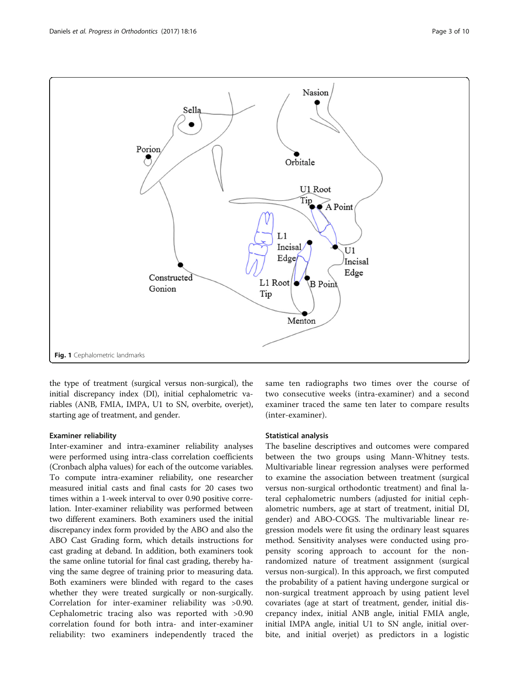<span id="page-2-0"></span>

the type of treatment (surgical versus non-surgical), the initial discrepancy index (DI), initial cephalometric variables (ANB, FMIA, IMPA, U1 to SN, overbite, overjet), starting age of treatment, and gender.

#### Examiner reliability

Inter-examiner and intra-examiner reliability analyses were performed using intra-class correlation coefficients (Cronbach alpha values) for each of the outcome variables. To compute intra-examiner reliability, one researcher measured initial casts and final casts for 20 cases two times within a 1-week interval to over 0.90 positive correlation. Inter-examiner reliability was performed between two different examiners. Both examiners used the initial discrepancy index form provided by the ABO and also the ABO Cast Grading form, which details instructions for cast grading at deband. In addition, both examiners took the same online tutorial for final cast grading, thereby having the same degree of training prior to measuring data. Both examiners were blinded with regard to the cases whether they were treated surgically or non-surgically. Correlation for inter-examiner reliability was >0.90. Cephalometric tracing also was reported with >0.90 correlation found for both intra- and inter-examiner reliability: two examiners independently traced the same ten radiographs two times over the course of two consecutive weeks (intra-examiner) and a second examiner traced the same ten later to compare results (inter-examiner).

### Statistical analysis

The baseline descriptives and outcomes were compared between the two groups using Mann-Whitney tests. Multivariable linear regression analyses were performed to examine the association between treatment (surgical versus non-surgical orthodontic treatment) and final lateral cephalometric numbers (adjusted for initial cephalometric numbers, age at start of treatment, initial DI, gender) and ABO-COGS. The multivariable linear regression models were fit using the ordinary least squares method. Sensitivity analyses were conducted using propensity scoring approach to account for the nonrandomized nature of treatment assignment (surgical versus non-surgical). In this approach, we first computed the probability of a patient having undergone surgical or non-surgical treatment approach by using patient level covariates (age at start of treatment, gender, initial discrepancy index, initial ANB angle, initial FMIA angle, initial IMPA angle, initial U1 to SN angle, initial overbite, and initial overjet) as predictors in a logistic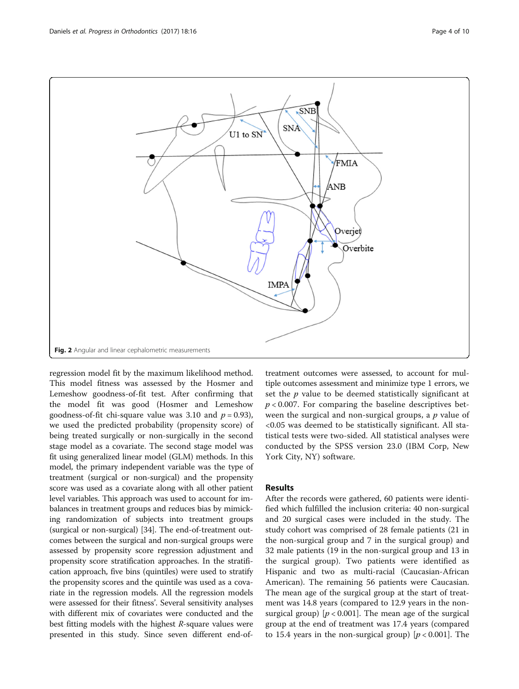<span id="page-3-0"></span>

regression model fit by the maximum likelihood method. This model fitness was assessed by the Hosmer and Lemeshow goodness-of-fit test. After confirming that the model fit was good (Hosmer and Lemeshow goodness-of-fit chi-square value was 3.10 and  $p = 0.93$ ), we used the predicted probability (propensity score) of being treated surgically or non-surgically in the second stage model as a covariate. The second stage model was fit using generalized linear model (GLM) methods. In this model, the primary independent variable was the type of treatment (surgical or non-surgical) and the propensity score was used as a covariate along with all other patient level variables. This approach was used to account for imbalances in treatment groups and reduces bias by mimicking randomization of subjects into treatment groups (surgical or non-surgical) [[34](#page-9-0)]. The end-of-treatment outcomes between the surgical and non-surgical groups were assessed by propensity score regression adjustment and propensity score stratification approaches. In the stratification approach, five bins (quintiles) were used to stratify the propensity scores and the quintile was used as a covariate in the regression models. All the regression models were assessed for their fitness'. Several sensitivity analyses with different mix of covariates were conducted and the best fitting models with the highest R-square values were presented in this study. Since seven different end-of-

treatment outcomes were assessed, to account for multiple outcomes assessment and minimize type 1 errors, we set the  $p$  value to be deemed statistically significant at  $p < 0.007$ . For comparing the baseline descriptives between the surgical and non-surgical groups, a  $p$  value of <0.05 was deemed to be statistically significant. All statistical tests were two-sided. All statistical analyses were conducted by the SPSS version 23.0 (IBM Corp, New York City, NY) software.

## Results

After the records were gathered, 60 patients were identified which fulfilled the inclusion criteria: 40 non-surgical and 20 surgical cases were included in the study. The study cohort was comprised of 28 female patients (21 in the non-surgical group and 7 in the surgical group) and 32 male patients (19 in the non-surgical group and 13 in the surgical group). Two patients were identified as Hispanic and two as multi-racial (Caucasian-African American). The remaining 56 patients were Caucasian. The mean age of the surgical group at the start of treatment was 14.8 years (compared to 12.9 years in the nonsurgical group)  $[p < 0.001]$ . The mean age of the surgical group at the end of treatment was 17.4 years (compared to 15.4 years in the non-surgical group)  $[p < 0.001]$ . The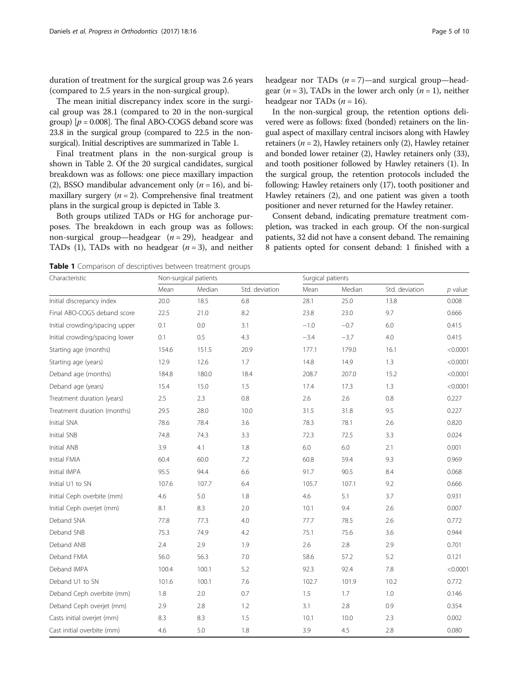duration of treatment for the surgical group was 2.6 years (compared to 2.5 years in the non-surgical group).

The mean initial discrepancy index score in the surgical group was 28.1 (compared to 20 in the non-surgical group)  $[p = 0.008]$ . The final ABO-COGS deband score was 23.8 in the surgical group (compared to 22.5 in the nonsurgical). Initial descriptives are summarized in Table 1.

Final treatment plans in the non-surgical group is shown in Table [2.](#page-5-0) Of the 20 surgical candidates, surgical breakdown was as follows: one piece maxillary impaction (2), BSSO mandibular advancement only  $(n = 16)$ , and bimaxillary surgery  $(n = 2)$ . Comprehensive final treatment plans in the surgical group is depicted in Table [3](#page-5-0).

Both groups utilized TADs or HG for anchorage purposes. The breakdown in each group was as follows: non-surgical group—headgear  $(n = 29)$ , headgear and TADs (1), TADs with no headgear  $(n = 3)$ , and neither headgear nor TADs  $(n = 7)$ —and surgical group—headgear  $(n = 3)$ , TADs in the lower arch only  $(n = 1)$ , neither headgear nor TADs  $(n = 16)$ .

In the non-surgical group, the retention options delivered were as follows: fixed (bonded) retainers on the lingual aspect of maxillary central incisors along with Hawley retainers ( $n = 2$ ), Hawley retainers only (2), Hawley retainer and bonded lower retainer (2), Hawley retainers only (33), and tooth positioner followed by Hawley retainers (1). In the surgical group, the retention protocols included the following: Hawley retainers only (17), tooth positioner and Hawley retainers (2), and one patient was given a tooth positioner and never returned for the Hawley retainer.

Consent deband, indicating premature treatment completion, was tracked in each group. Of the non-surgical patients, 32 did not have a consent deband. The remaining 8 patients opted for consent deband: 1 finished with a

Table 1 Comparison of descriptives between treatment groups

| Characteristic                 | Non-surgical patients |        |                | Surgical patients |        |                |           |
|--------------------------------|-----------------------|--------|----------------|-------------------|--------|----------------|-----------|
|                                | Mean                  | Median | Std. deviation | Mean              | Median | Std. deviation | $p$ value |
| Initial discrepancy index      | 20.0                  | 18.5   | 6.8            | 28.1              | 25.0   | 13.8           | 0.008     |
| Final ABO-COGS deband score    | 22.5                  | 21.0   | 8.2            | 23.8              | 23.0   | 9.7            | 0.666     |
| Initial crowding/spacing upper | 0.1                   | 0.0    | 3.1            | $-1.0$            | $-0.7$ | 6.0            | 0.415     |
| Initial crowding/spacing lower | 0.1                   | 0.5    | 4.3            | $-3.4$            | $-3.7$ | 4.0            | 0.415     |
| Starting age (months)          | 154.6                 | 151.5  | 20.9           | 177.1             | 179.0  | 16.1           | < 0.0001  |
| Starting age (years)           | 12.9                  | 12.6   | 1.7            | 14.8              | 14.9   | 1.3            | < 0.0001  |
| Deband age (months)            | 184.8                 | 180.0  | 18.4           | 208.7             | 207.0  | 15.2           | < 0.0001  |
| Deband age (years)             | 15.4                  | 15.0   | 1.5            | 17.4              | 17.3   | 1.3            | < 0.0001  |
| Treatment duration (years)     | 2.5                   | 2.3    | 0.8            | 2.6               | 2.6    | 0.8            | 0.227     |
| Treatment duration (months)    | 29.5                  | 28.0   | 10.0           | 31.5              | 31.8   | 9.5            | 0.227     |
| Initial SNA                    | 78.6                  | 78.4   | 3.6            | 78.3              | 78.1   | 2.6            | 0.820     |
| Initial SNB                    | 74.8                  | 74.3   | 3.3            | 72.3              | 72.5   | 3.3            | 0.024     |
| Initial ANB                    | 3.9                   | 4.1    | 1.8            | 6.0               | 6.0    | 2.1            | 0.001     |
| Initial FMIA                   | 60.4                  | 60.0   | 7.2            | 60.8              | 59.4   | 9.3            | 0.969     |
| Initial IMPA                   | 95.5                  | 94.4   | 6.6            | 91.7              | 90.5   | 8.4            | 0.068     |
| Initial U1 to SN               | 107.6                 | 107.7  | 6.4            | 105.7             | 107.1  | 9.2            | 0.666     |
| Initial Ceph overbite (mm)     | 4.6                   | 5.0    | 1.8            | 4.6               | 5.1    | 3.7            | 0.931     |
| Initial Ceph overjet (mm)      | 8.1                   | 8.3    | 2.0            | 10.1              | 9.4    | 2.6            | 0.007     |
| Deband SNA                     | 77.8                  | 77.3   | 4.0            | 77.7              | 78.5   | 2.6            | 0.772     |
| Deband SNB                     | 75.3                  | 74.9   | 4.2            | 75.1              | 75.6   | 3.6            | 0.944     |
| Deband ANB                     | 2.4                   | 2.9    | 1.9            | 2.6               | 2.8    | 2.9            | 0.701     |
| Deband FMIA                    | 56.0                  | 56.3   | 7.0            | 58.6              | 57.2   | 5.2            | 0.121     |
| Deband IMPA                    | 100.4                 | 100.1  | 5.2            | 92.3              | 92.4   | 7.8            | < 0.0001  |
| Deband U1 to SN                | 101.6                 | 100.1  | 7.6            | 102.7             | 101.9  | 10.2           | 0.772     |
| Deband Ceph overbite (mm)      | 1.8                   | 2.0    | 0.7            | 1.5               | 1.7    | 1.0            | 0.146     |
| Deband Ceph overjet (mm)       | 2.9                   | 2.8    | 1.2            | 3.1               | 2.8    | 0.9            | 0.354     |
| Casts initial overjet (mm)     | 8.3                   | 8.3    | 1.5            | 10.1              | 10.0   | 2.3            | 0.002     |
| Cast initial overbite (mm)     | 4.6                   | 5.0    | 1.8            | 3.9               | 4.5    | 2.8            | 0.080     |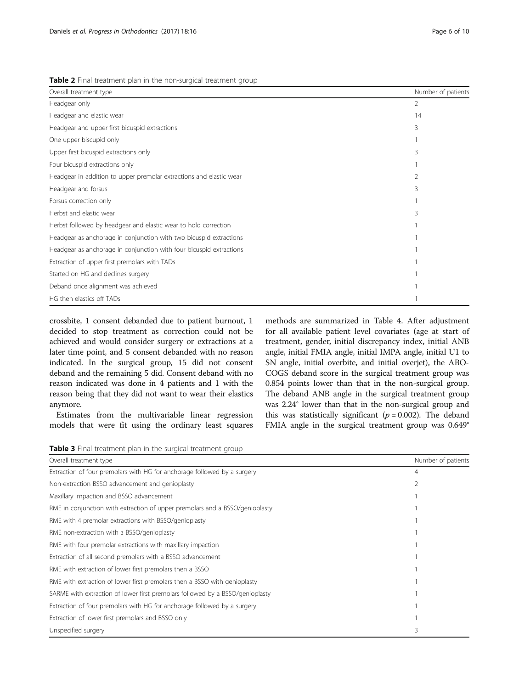<span id="page-5-0"></span>

| Overall treatment type                                              | Number of patients |
|---------------------------------------------------------------------|--------------------|
| Headgear only                                                       | 2                  |
| Headgear and elastic wear                                           | 14                 |
| Headgear and upper first bicuspid extractions                       | 3                  |
| One upper biscupid only                                             |                    |
| Upper first bicuspid extractions only                               | 3                  |
| Four bicuspid extractions only                                      |                    |
| Headgear in addition to upper premolar extractions and elastic wear | $\mathfrak{D}$     |
| Headgear and forsus                                                 | 3                  |
| Forsus correction only                                              |                    |
| Herbst and elastic wear                                             | 3                  |
| Herbst followed by headgear and elastic wear to hold correction     |                    |
| Headgear as anchorage in conjunction with two bicuspid extractions  |                    |
| Headgear as anchorage in conjunction with four bicuspid extractions |                    |
| Extraction of upper first premolars with TADs                       |                    |
| Started on HG and declines surgery                                  |                    |
| Deband once alignment was achieved                                  |                    |
| HG then elastics off TADs                                           |                    |

crossbite, 1 consent debanded due to patient burnout, 1 decided to stop treatment as correction could not be achieved and would consider surgery or extractions at a later time point, and 5 consent debanded with no reason indicated. In the surgical group, 15 did not consent deband and the remaining 5 did. Consent deband with no reason indicated was done in 4 patients and 1 with the reason being that they did not want to wear their elastics anymore.

Estimates from the multivariable linear regression models that were fit using the ordinary least squares methods are summarized in Table [4.](#page-6-0) After adjustment for all available patient level covariates (age at start of treatment, gender, initial discrepancy index, initial ANB angle, initial FMIA angle, initial IMPA angle, initial U1 to SN angle, initial overbite, and initial overjet), the ABO-COGS deband score in the surgical treatment group was 0.854 points lower than that in the non-surgical group. The deband ANB angle in the surgical treatment group was 2.24° lower than that in the non-surgical group and this was statistically significant ( $p = 0.002$ ). The deband FMIA angle in the surgical treatment group was 0.649°

Table 3 Final treatment plan in the surgical treatment group

| Overall treatment type                                                        | Number of patients |
|-------------------------------------------------------------------------------|--------------------|
| Extraction of four premolars with HG for anchorage followed by a surgery      | 4                  |
| Non-extraction BSSO advancement and genioplasty                               | 2                  |
| Maxillary impaction and BSSO advancement                                      |                    |
| RME in conjunction with extraction of upper premolars and a BSSO/genioplasty  |                    |
| RME with 4 premolar extractions with BSSO/genioplasty                         |                    |
| RME non-extraction with a BSSO/genioplasty                                    |                    |
| RME with four premolar extractions with maxillary impaction                   |                    |
| Extraction of all second premolars with a BSSO advancement                    |                    |
| RME with extraction of lower first premolars then a BSSO                      |                    |
| RME with extraction of lower first premolars then a BSSO with genioplasty     |                    |
| SARME with extraction of lower first premolars followed by a BSSO/genioplasty |                    |
| Extraction of four premolars with HG for anchorage followed by a surgery      |                    |
| Extraction of lower first premolars and BSSO only                             |                    |
| Unspecified surgery                                                           | 3                  |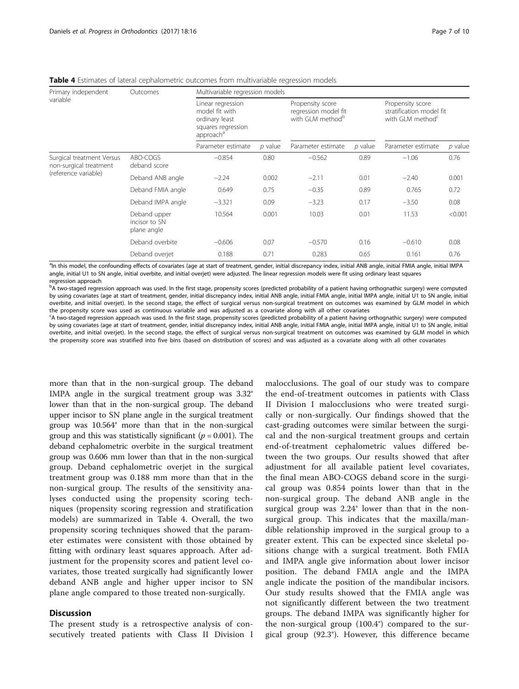| Primary independent                                                         | Outcomes                                     | Multivariable regression models                                                                      |           |                                                                          |           |                                                                              |           |  |
|-----------------------------------------------------------------------------|----------------------------------------------|------------------------------------------------------------------------------------------------------|-----------|--------------------------------------------------------------------------|-----------|------------------------------------------------------------------------------|-----------|--|
| variable                                                                    |                                              | Linear regression<br>model fit with<br>ordinary least<br>squares regression<br>approach <sup>a</sup> |           | Propensity score<br>regression model fit<br>with GIM method <sup>b</sup> |           | Propensity score<br>stratification model fit<br>with GIM method <sup>c</sup> |           |  |
|                                                                             |                                              | Parameter estimate                                                                                   | $p$ value | Parameter estimate                                                       | $p$ value | Parameter estimate                                                           | $p$ value |  |
| Surgical treatment Versus<br>non-surgical treatment<br>(reference variable) | ABO-COGS<br>deband score                     | $-0.854$                                                                                             | 0.80      | $-0.562$                                                                 | 0.89      | $-1.06$                                                                      | 0.76      |  |
|                                                                             | Deband ANB angle                             | $-2.24$                                                                                              | 0.002     | $-2.11$                                                                  | 0.01      | $-2.40$                                                                      | 0.001     |  |
|                                                                             | Deband FMIA angle                            | 0.649                                                                                                | 0.75      | $-0.35$                                                                  | 0.89      | 0.765                                                                        | 0.72      |  |
|                                                                             | Deband IMPA angle                            | $-3.321$                                                                                             | 0.09      | $-3.23$                                                                  | 0.17      | $-3.50$                                                                      | 0.08      |  |
|                                                                             | Deband upper<br>incisor to SN<br>plane angle | 10.564                                                                                               | 0.001     | 10.03                                                                    | 0.01      | 11.53                                                                        | < 0.001   |  |
|                                                                             | Deband overbite                              | $-0.606$                                                                                             | 0.07      | $-0.570$                                                                 | 0.16      | $-0.610$                                                                     | 0.08      |  |
|                                                                             | Deband overjet                               | 0.188                                                                                                | 0.71      | 0.283                                                                    | 0.65      | 0.161                                                                        | 0.76      |  |

<span id="page-6-0"></span>Table 4 Estimates of lateral cephalometric outcomes from multivariable regression models

<sup>a</sup>In this model, the confounding effects of covariates (age at start of treatment, gender, initial discrepancy index, initial ANB angle, initial FMIA angle, initial IMPA angle, initial U1 to SN angle, initial overbite, and initial overjet) were adjusted. The linear regression models were fit using ordinary least squares regression approach

b two-staged regression approach was used. In the first stage, propensity scores (predicted probability of a patient having orthognathic surgery) were computed by using covariates (age at start of treatment, gender, initial discrepancy index, initial ANB angle, initial FMIA angle, initial IMPA angle, initial U1 to SN angle, initial overbite, and initial overjet). In the second stage, the effect of surgical versus non-surgical treatment on outcomes was examined by GLM model in which the propensity score was used as continuous variable and was adjusted as a covariate along with all other covariates

<sup>c</sup>A two-staged regression approach was used. In the first stage, propensity scores (predicted probability of a patient having orthognathic surgery) were computed by using covariates (age at start of treatment, gender, initial discrepancy index, initial ANB angle, initial FMIA angle, initial IMPA angle, initial U1 to SN angle, initial overbite, and initial overjet). In the second stage, the effect of surgical versus non-surgical treatment on outcomes was examined by GLM model in which the propensity score was stratified into five bins (based on distribution of scores) and was adjusted as a covariate along with all other covariates

more than that in the non-surgical group. The deband IMPA angle in the surgical treatment group was 3.32° lower than that in the non-surgical group. The deband upper incisor to SN plane angle in the surgical treatment group was 10.564° more than that in the non-surgical group and this was statistically significant ( $p = 0.001$ ). The deband cephalometric overbite in the surgical treatment group was 0.606 mm lower than that in the non-surgical group. Deband cephalometric overjet in the surgical treatment group was 0.188 mm more than that in the non-surgical group. The results of the sensitivity analyses conducted using the propensity scoring techniques (propensity scoring regression and stratification models) are summarized in Table 4. Overall, the two propensity scoring techniques showed that the parameter estimates were consistent with those obtained by fitting with ordinary least squares approach. After adjustment for the propensity scores and patient level covariates, those treated surgically had significantly lower deband ANB angle and higher upper incisor to SN plane angle compared to those treated non-surgically.

## **Discussion**

The present study is a retrospective analysis of consecutively treated patients with Class II Division I malocclusions. The goal of our study was to compare the end-of-treatment outcomes in patients with Class II Division I malocclusions who were treated surgically or non-surgically. Our findings showed that the cast-grading outcomes were similar between the surgical and the non-surgical treatment groups and certain end-of-treatment cephalometric values differed between the two groups. Our results showed that after adjustment for all available patient level covariates, the final mean ABO-COGS deband score in the surgical group was 0.854 points lower than that in the non-surgical group. The deband ANB angle in the surgical group was 2.24° lower than that in the nonsurgical group. This indicates that the maxilla/mandible relationship improved in the surgical group to a greater extent. This can be expected since skeletal positions change with a surgical treatment. Both FMIA and IMPA angle give information about lower incisor position. The deband FMIA angle and the IMPA angle indicate the position of the mandibular incisors. Our study results showed that the FMIA angle was not significantly different between the two treatment groups. The deband IMPA was significantly higher for the non-surgical group (100.4°) compared to the surgical group (92.3°). However, this difference became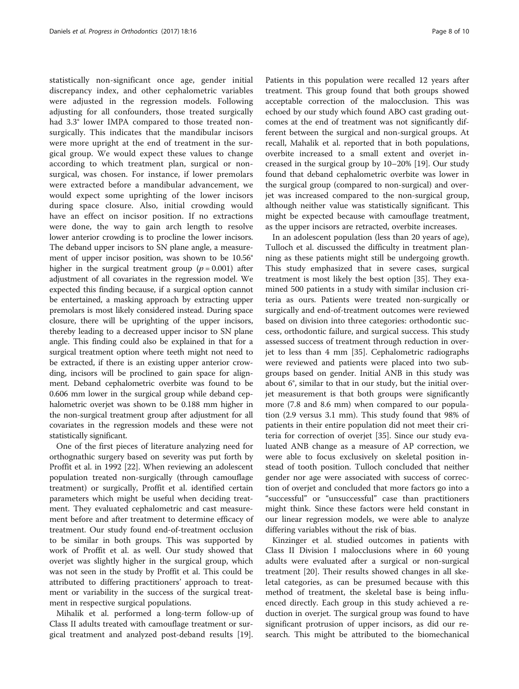statistically non-significant once age, gender initial discrepancy index, and other cephalometric variables were adjusted in the regression models. Following adjusting for all confounders, those treated surgically had 3.3° lower IMPA compared to those treated nonsurgically. This indicates that the mandibular incisors were more upright at the end of treatment in the surgical group. We would expect these values to change according to which treatment plan, surgical or nonsurgical, was chosen. For instance, if lower premolars were extracted before a mandibular advancement, we would expect some uprighting of the lower incisors during space closure. Also, initial crowding would have an effect on incisor position. If no extractions were done, the way to gain arch length to resolve lower anterior crowding is to procline the lower incisors. The deband upper incisors to SN plane angle, a measurement of upper incisor position, was shown to be 10.56° higher in the surgical treatment group  $(p = 0.001)$  after adjustment of all covariates in the regression model. We expected this finding because, if a surgical option cannot be entertained, a masking approach by extracting upper premolars is most likely considered instead. During space closure, there will be uprighting of the upper incisors, thereby leading to a decreased upper incisor to SN plane angle. This finding could also be explained in that for a surgical treatment option where teeth might not need to be extracted, if there is an existing upper anterior crowding, incisors will be proclined to gain space for alignment. Deband cephalometric overbite was found to be 0.606 mm lower in the surgical group while deband cephalometric overjet was shown to be 0.188 mm higher in the non-surgical treatment group after adjustment for all covariates in the regression models and these were not statistically significant.

One of the first pieces of literature analyzing need for orthognathic surgery based on severity was put forth by Proffit et al. in 1992 [[22\]](#page-9-0). When reviewing an adolescent population treated non-surgically (through camouflage treatment) or surgically, Proffit et al. identified certain parameters which might be useful when deciding treatment. They evaluated cephalometric and cast measurement before and after treatment to determine efficacy of treatment. Our study found end-of-treatment occlusion to be similar in both groups. This was supported by work of Proffit et al. as well. Our study showed that overjet was slightly higher in the surgical group, which was not seen in the study by Proffit et al. This could be attributed to differing practitioners' approach to treatment or variability in the success of the surgical treatment in respective surgical populations.

Mihalik et al. performed a long-term follow-up of Class II adults treated with camouflage treatment or surgical treatment and analyzed post-deband results [\[19](#page-8-0)].

Patients in this population were recalled 12 years after treatment. This group found that both groups showed acceptable correction of the malocclusion. This was echoed by our study which found ABO cast grading outcomes at the end of treatment was not significantly different between the surgical and non-surgical groups. At recall, Mahalik et al. reported that in both populations, overbite increased to a small extent and overjet increased in the surgical group by 10–20% [[19](#page-8-0)]. Our study found that deband cephalometric overbite was lower in the surgical group (compared to non-surgical) and overjet was increased compared to the non-surgical group, although neither value was statistically significant. This might be expected because with camouflage treatment, as the upper incisors are retracted, overbite increases.

In an adolescent population (less than 20 years of age), Tulloch et al. discussed the difficulty in treatment planning as these patients might still be undergoing growth. This study emphasized that in severe cases, surgical treatment is most likely the best option [\[35\]](#page-9-0). They examined 500 patients in a study with similar inclusion criteria as ours. Patients were treated non-surgically or surgically and end-of-treatment outcomes were reviewed based on division into three categories: orthodontic success, orthodontic failure, and surgical success. This study assessed success of treatment through reduction in overjet to less than 4 mm [[35](#page-9-0)]. Cephalometric radiographs were reviewed and patients were placed into two subgroups based on gender. Initial ANB in this study was about 6°, similar to that in our study, but the initial overjet measurement is that both groups were significantly more (7.8 and 8.6 mm) when compared to our population (2.9 versus 3.1 mm). This study found that 98% of patients in their entire population did not meet their criteria for correction of overjet [[35\]](#page-9-0). Since our study evaluated ANB change as a measure of AP correction, we were able to focus exclusively on skeletal position instead of tooth position. Tulloch concluded that neither gender nor age were associated with success of correction of overjet and concluded that more factors go into a "successful" or "unsuccessful" case than practitioners might think. Since these factors were held constant in our linear regression models, we were able to analyze differing variables without the risk of bias.

Kinzinger et al. studied outcomes in patients with Class II Division I malocclusions where in 60 young adults were evaluated after a surgical or non-surgical treatment [\[20](#page-8-0)]. Their results showed changes in all skeletal categories, as can be presumed because with this method of treatment, the skeletal base is being influenced directly. Each group in this study achieved a reduction in overjet. The surgical group was found to have significant protrusion of upper incisors, as did our research. This might be attributed to the biomechanical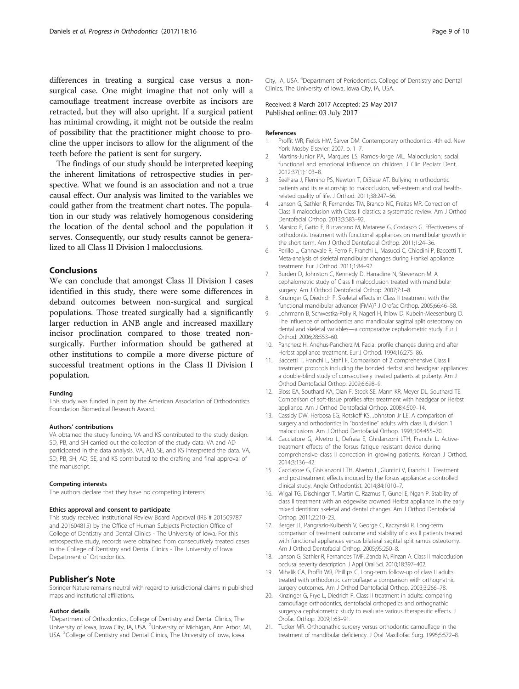<span id="page-8-0"></span>differences in treating a surgical case versus a nonsurgical case. One might imagine that not only will a camouflage treatment increase overbite as incisors are retracted, but they will also upright. If a surgical patient has minimal crowding, it might not be outside the realm of possibility that the practitioner might choose to procline the upper incisors to allow for the alignment of the teeth before the patient is sent for surgery.

The findings of our study should be interpreted keeping the inherent limitations of retrospective studies in perspective. What we found is an association and not a true causal effect. Our analysis was limited to the variables we could gather from the treatment chart notes. The population in our study was relatively homogenous considering the location of the dental school and the population it serves. Consequently, our study results cannot be generalized to all Class II Division I malocclusions.

## Conclusions

We can conclude that amongst Class II Division I cases identified in this study, there were some differences in deband outcomes between non-surgical and surgical populations. Those treated surgically had a significantly larger reduction in ANB angle and increased maxillary incisor proclination compared to those treated nonsurgically. Further information should be gathered at other institutions to compile a more diverse picture of successful treatment options in the Class II Division I population.

#### Funding

This study was funded in part by the American Association of Orthodontists Foundation Biomedical Research Award.

#### Authors' contributions

VA obtained the study funding. VA and KS contributed to the study design. SD, PB, and SH carried out the collection of the study data. VA and AD participated in the data analysis. VA, AD, SE, and KS interpreted the data. VA, SD, PB, SH, AD, SE, and KS contributed to the drafting and final approval of the manuscript.

#### Competing interests

The authors declare that they have no competing interests.

#### Ethics approval and consent to participate

This study received Institutional Review Board Approval (IRB # 201509787 and 201604815) by the Office of Human Subjects Protection Office of College of Dentistry and Dental Clinics - The University of Iowa. For this retrospective study, records were obtained from consecutively treated cases in the College of Dentistry and Dental Clinics - The University of Iowa Department of Orthodontics.

### Publisher's Note

Springer Nature remains neutral with regard to jurisdictional claims in published maps and institutional affiliations.

#### Author details

<sup>1</sup>Department of Orthodontics, College of Dentistry and Dental Clinics, The University of Iowa, Iowa City, IA, USA. <sup>2</sup>University of Michigan, Ann Arbor, MI, USA. <sup>3</sup>College of Dentistry and Dental Clinics, The University of Iowa, Iowa

City, IA, USA. <sup>4</sup>Department of Periodontics, College of Dentistry and Dental Clinics, The University of Iowa, Iowa City, IA, USA.

### Received: 8 March 2017 Accepted: 25 May 2017 Published online: 03 July 2017

#### References

- 1. Proffit WR, Fields HW, Sarver DM. Contemporary orthodontics. 4th ed. New York: Mosby Elsevier; 2007. p. 1–7.
- 2. Martins-Junior PA, Marques LS, Ramos-Jorge ML. Malocclusion: social, functional and emotional influence on children. J Clin Pediatr Dent. 2012;37(1):103–8.
- 3. Seehara J, Fleming PS, Newton T, DiBiase AT. Bullying in orthodontic patients and its relationship to malocclusion, self-esteem and oral healthrelated quality of life. J Orthod. 2011;38:247–56.
- 4. Janson G, Sathler R, Fernandes TM, Branco NC, Freitas MR. Correction of Class II malocclusion with Class II elastics: a systematic review. Am J Orthod Dentofacial Orthop. 2013;3:383–92.
- 5. Marsico E, Gatto E, Burrascano M, Matarese G, Cordasco G. Effectiveness of orthodontic treatment with functional appliances on mandibular growth in the short term. Am J Orthod Dentofacial Orthop. 2011;1:24–36.
- 6. Perillo L, Cannavale R, Ferro F, Franchi L, Masucci C, Chiodini P, Baccetti T. Meta-analysis of skeletal mandibular changes during Frankel appliance treatment. Eur J Orthod. 2011;1:84–92.
- 7. Burden D, Johnston C, Kennedy D, Harradine N, Stevenson M. A cephalometric study of Class II malocclusion treated with mandibular surgery. Am J Orthod Dentofacial Orthop. 2007;7:1–8.
- 8. Kinzinger G, Diedrich P. Skeletal effects in Class II treatment with the functional mandibular advancer (FMA)? J Orofac Orthop. 2005;66:46–58.
- 9. Lohrmann B, Schwestka-Polly R, Nagerl H, Ihlow D, Kubein-Meesenburg D. The influence of orthodontics and mandibular sagittal split osteotomy on dental and skeletal variables—a comparative cephalometric study. Eur J Orthod. 2006;28:553–60.
- 10. Pancherz H, Anehus-Pancherz M. Facial profile changes during and after Herbst appliance treatment. Eur J Orthod. 1994;16:275–86.
- 11. Baccetti T, Franchi L, Stahl F. Comparison of 2 comprehensive Class II treatment protocols including the bonded Herbst and headgear appliances: a double-blind study of consecutively treated patients at puberty. Am J Orthod Dentofacial Orthop. 2009;6:698–9.
- 12. Sloss EA, Southard KA, Qian F, Stock SE, Mann KR, Meyer DL, Southard TE. Comparison of soft-tissue profiles after treatment with headgear or Herbst appliance. Am J Orthod Dentofacial Orthop. 2008;4:509–14.
- 13. Cassidy DW, Herbosa EG, Rotskoff KS, Johnston Jr LE. A comparison of surgery and orthodontics in "borderline" adults with class II, division 1 malocclusions. Am J Orthod Dentofacial Orthop. 1993;104:455–70.
- 14. Cacciatore G, Alvetro L, Defraia E, Ghislanzoni LTH, Franchi L. Activetreatment effects of the forsus fatigue resistant device during comprehensive class II correction in growing patients. Korean J Orthod. 2014;3:136–42.
- 15. Cacciatore G, Ghislanzoni LTH, Alvetro L, Giuntini V, Franchi L. Treatment and posttreatment effects induced by the forsus appliance: a controlled clinical study. Angle Orthodontist. 2014;84:1010–7.
- 16. Wigal TG, Dischinger T, Martin C, Razmus T, Gunel E, Ngan P. Stability of class II treatment with an edgewise crowned Herbst appliance in the early mixed dentition: skeletal and dental changes. Am J Orthod Dentofacial Orthop. 2011;2:210–23.
- 17. Berger JL, Pangrazio-Kulbersh V, George C, Kaczynski R. Long-term comparison of treatment outcome and stability of class II patients treated with functional appliances versus bilateral sagittal split ramus osteotomy. Am J Orthod Dentofacial Orthop. 2005;95:250–8.
- 18. Janson G, Sathler R, Fernandes TMF, Zanda M, Pinzan A. Class II malocclusion occlusal severity description. J Appl Oral Sci. 2010;18:397–402.
- 19. Mihalik CA, Proffit WR, Phillips C. Long-term follow-up of class II adults treated with orthodontic camouflage: a comparison with orthognathic surgery outcomes. Am J Orthod Dentofacial Orthop. 2003;3:266–78.
- 20. Kinzinger G, Frye L, Diedrich P. Class II treatment in adults: comparing camouflage orthodontics, dentofacial orthopedics and orthognathic surgery-a cephalometric study to evaluate various therapeutic effects. J Orofac Orthop. 2009;1:63–91.
- 21. Tucker MR. Orthognathic surgery versus orthodontic camouflage in the treatment of mandibular deficiency. J Oral Maxillofac Surg. 1995;5:572–8.